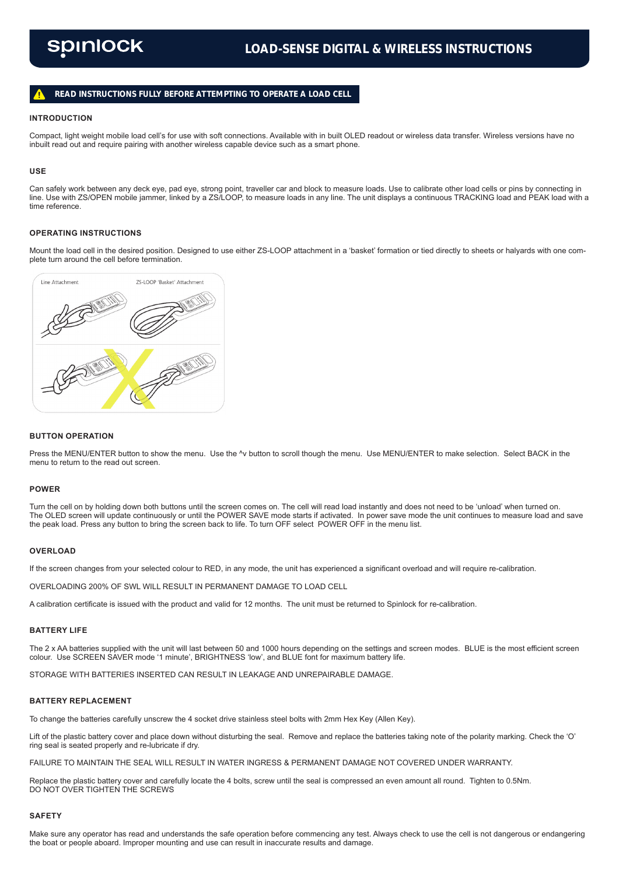# **READ INSTRUCTIONS FULLY BEFORE ATTEMPTING TO OPERATE A LOAD CELL**

### **INTRODUCTION**

Compact, light weight mobile load cell's for use with soft connections. Available with in built OLED readout or wireless data transfer. Wireless versions have no inbuilt read out and require pairing with another wireless capable device such as a smart phone.

#### **USE**

Can safely work between any deck eye, pad eye, strong point, traveller car and block to measure loads. Use to calibrate other load cells or pins by connecting in line. Use with ZS/OPEN mobile jammer, linked by a ZS/LOOP, to measure loads in any line. The unit displays a continuous TRACKING load and PEAK load with a time reference.

# **OPERATING INSTRUCTIONS**

Mount the load cell in the desired position. Designed to use either ZS-LOOP attachment in a 'basket' formation or tied directly to sheets or halyards with one complete turn around the cell before termination.



#### **BUTTON OPERATION**

Press the MENU/ENTER button to show the menu. Use the ^v button to scroll though the menu. Use MENU/ENTER to make selection. Select BACK in the menu to return to the read out screen.

#### **POWER**

Turn the cell on by holding down both buttons until the screen comes on. The cell will read load instantly and does not need to be 'unload' when turned on. The OLED screen will update continuously or until the POWER SAVE mode starts if activated. In power save mode the unit continues to measure load and save the peak load. Press any button to bring the screen back to life. To turn OFF select POWER OFF in the menu list.

# **OVERLOAD**

If the screen changes from your selected colour to RED, in any mode, the unit has experienced a significant overload and will require re-calibration.

OVERLOADING 200% OF SWL WILL RESULT IN PERMANENT DAMAGE TO LOAD CELL

A calibration certificate is issued with the product and valid for 12 months. The unit must be returned to Spinlock for re-calibration.

### **BATTERY LIFE**

The 2 x AA batteries supplied with the unit will last between 50 and 1000 hours depending on the settings and screen modes. BLUE is the most efficient screen colour. Use SCREEN SAVER mode '1 minute', BRIGHTNESS 'low', and BLUE font for maximum battery life.

STORAGE WITH BATTERIES INSERTED CAN RESULT IN LEAKAGE AND UNREPAIRABLE DAMAGE.

#### **BATTERY REPLACEMENT**

To change the batteries carefully unscrew the 4 socket drive stainless steel bolts with 2mm Hex Key (Allen Key).

Lift of the plastic battery cover and place down without disturbing the seal. Remove and replace the batteries taking note of the polarity marking. Check the 'O' ring seal is seated properly and re-lubricate if dry.

FAILURE TO MAINTAIN THE SEAL WILL RESULT IN WATER INGRESS & PERMANENT DAMAGE NOT COVERED UNDER WARRANTY.

Replace the plastic battery cover and carefully locate the 4 bolts, screw until the seal is compressed an even amount all round. Tighten to 0.5Nm. DO NOT OVER TIGHTEN THE SCREWS

#### **SAFETY**

Make sure any operator has read and understands the safe operation before commencing any test. Always check to use the cell is not dangerous or endangering the boat or people aboard. Improper mounting and use can result in inaccurate results and damage.